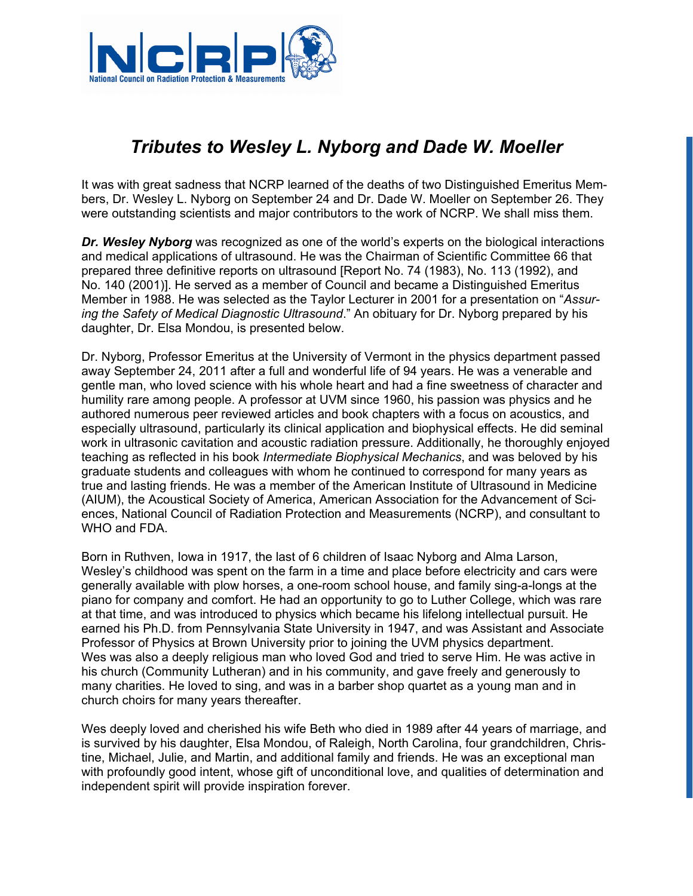

## *Tributes to Wesley L. Nyborg and Dade W. Moeller*

It was with great sadness that NCRP learned of the deaths of two Distinguished Emeritus Members, Dr. Wesley L. Nyborg on September 24 and Dr. Dade W. Moeller on September 26. They were outstanding scientists and major contributors to the work of NCRP. We shall miss them.

**Dr. Wesley Nyborg** was recognized as one of the world's experts on the biological interactions and medical applications of ultrasound. He was the Chairman of Scientific Committee 66 that prepared three definitive reports on ultrasound [Report No. 74 (1983), No. 113 (1992), and No. 140 (2001)]. He served as a member of Council and became a Distinguished Emeritus Member in 1988. He was selected as the Taylor Lecturer in 2001 for a presentation on "*Assuring the Safety of Medical Diagnostic Ultrasound*." An obituary for Dr. Nyborg prepared by his daughter, Dr. Elsa Mondou, is presented below.

Dr. Nyborg, Professor Emeritus at the University of Vermont in the physics department passed away September 24, 2011 after a full and wonderful life of 94 years. He was a venerable and gentle man, who loved science with his whole heart and had a fine sweetness of character and humility rare among people. A professor at UVM since 1960, his passion was physics and he authored numerous peer reviewed articles and book chapters with a focus on acoustics, and especially ultrasound, particularly its clinical application and biophysical effects. He did seminal work in ultrasonic cavitation and acoustic radiation pressure. Additionally, he thoroughly enjoyed teaching as reflected in his book *Intermediate Biophysical Mechanics*, and was beloved by his graduate students and colleagues with whom he continued to correspond for many years as true and lasting friends. He was a member of the American Institute of Ultrasound in Medicine (AIUM), the Acoustical Society of America, American Association for the Advancement of Sciences, National Council of Radiation Protection and Measurements (NCRP), and consultant to WHO and FDA.

Born in Ruthven, Iowa in 1917, the last of 6 children of Isaac Nyborg and Alma Larson, Wesley's childhood was spent on the farm in a time and place before electricity and cars were generally available with plow horses, a one-room school house, and family sing-a-longs at the piano for company and comfort. He had an opportunity to go to Luther College, which was rare at that time, and was introduced to physics which became his lifelong intellectual pursuit. He earned his Ph.D. from Pennsylvania State University in 1947, and was Assistant and Associate Professor of Physics at Brown University prior to joining the UVM physics department. Wes was also a deeply religious man who loved God and tried to serve Him. He was active in his church (Community Lutheran) and in his community, and gave freely and generously to many charities. He loved to sing, and was in a barber shop quartet as a young man and in church choirs for many years thereafter.

Wes deeply loved and cherished his wife Beth who died in 1989 after 44 years of marriage, and is survived by his daughter, Elsa Mondou, of Raleigh, North Carolina, four grandchildren, Christine, Michael, Julie, and Martin, and additional family and friends. He was an exceptional man with profoundly good intent, whose gift of unconditional love, and qualities of determination and independent spirit will provide inspiration forever.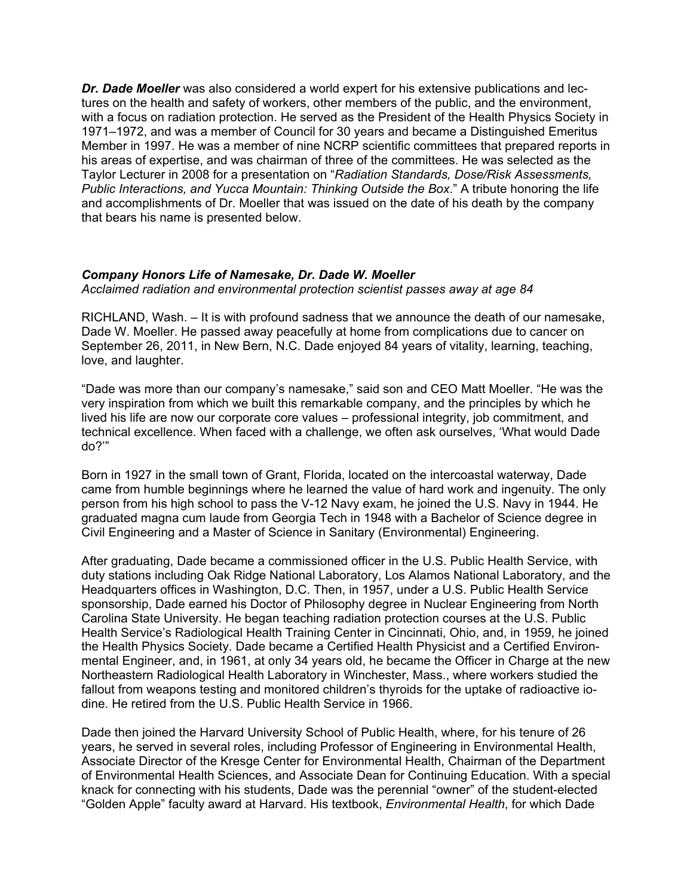*Dr. Dade Moeller* was also considered a world expert for his extensive publications and lectures on the health and safety of workers, other members of the public, and the environment, with a focus on radiation protection. He served as the President of the Health Physics Society in 1971–1972, and was a member of Council for 30 years and became a Distinguished Emeritus Member in 1997. He was a member of nine NCRP scientific committees that prepared reports in his areas of expertise, and was chairman of three of the committees. He was selected as the Taylor Lecturer in 2008 for a presentation on "*Radiation Standards, Dose/Risk Assessments, Public Interactions, and Yucca Mountain: Thinking Outside the Box*." A tribute honoring the life and accomplishments of Dr. Moeller that was issued on the date of his death by the company that bears his name is presented below.

## *Company Honors Life of Namesake, Dr. Dade W. Moeller*

*Acclaimed radiation and environmental protection scientist passes away at age 84* 

RICHLAND, Wash. – It is with profound sadness that we announce the death of our namesake, Dade W. Moeller. He passed away peacefully at home from complications due to cancer on September 26, 2011, in New Bern, N.C. Dade enjoyed 84 years of vitality, learning, teaching, love, and laughter.

"Dade was more than our company's namesake," said son and CEO Matt Moeller. "He was the very inspiration from which we built this remarkable company, and the principles by which he lived his life are now our corporate core values – professional integrity, job commitment, and technical excellence. When faced with a challenge, we often ask ourselves, 'What would Dade do?'"

Born in 1927 in the small town of Grant, Florida, located on the intercoastal waterway, Dade came from humble beginnings where he learned the value of hard work and ingenuity. The only person from his high school to pass the V-12 Navy exam, he joined the U.S. Navy in 1944. He graduated magna cum laude from Georgia Tech in 1948 with a Bachelor of Science degree in Civil Engineering and a Master of Science in Sanitary (Environmental) Engineering.

After graduating, Dade became a commissioned officer in the U.S. Public Health Service, with duty stations including Oak Ridge National Laboratory, Los Alamos National Laboratory, and the Headquarters offices in Washington, D.C. Then, in 1957, under a U.S. Public Health Service sponsorship, Dade earned his Doctor of Philosophy degree in Nuclear Engineering from North Carolina State University. He began teaching radiation protection courses at the U.S. Public Health Service's Radiological Health Training Center in Cincinnati, Ohio, and, in 1959, he joined the Health Physics Society. Dade became a Certified Health Physicist and a Certified Environmental Engineer, and, in 1961, at only 34 years old, he became the Officer in Charge at the new Northeastern Radiological Health Laboratory in Winchester, Mass., where workers studied the fallout from weapons testing and monitored children's thyroids for the uptake of radioactive iodine. He retired from the U.S. Public Health Service in 1966.

Dade then joined the Harvard University School of Public Health, where, for his tenure of 26 years, he served in several roles, including Professor of Engineering in Environmental Health, Associate Director of the Kresge Center for Environmental Health, Chairman of the Department of Environmental Health Sciences, and Associate Dean for Continuing Education. With a special knack for connecting with his students, Dade was the perennial "owner" of the student-elected "Golden Apple" faculty award at Harvard. His textbook, *Environmental Health*, for which Dade